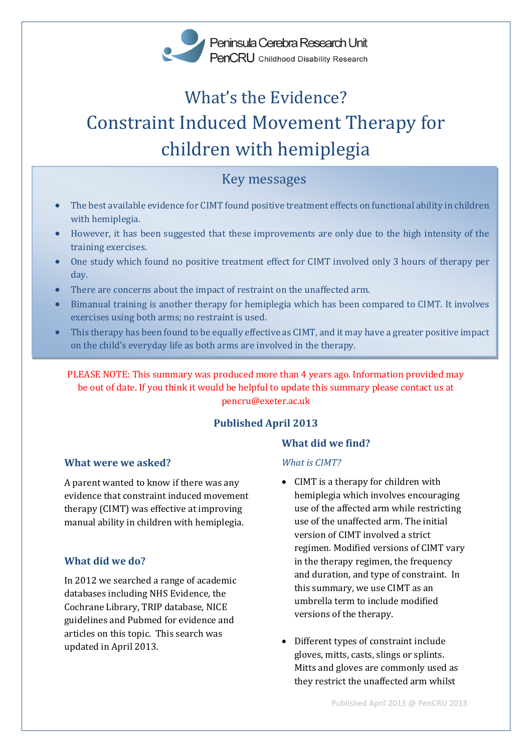

# What's the Evidence? Constraint Induced Movement Therapy for children with hemiplegia

## Key messages

- The best available evidence for CIMT found positive treatment effects on functional ability in children with hemiplegia.
- However, it has been suggested that these improvements are only due to the high intensity of the training exercises.
- One study which found no positive treatment effect for CIMT involved only 3 hours of therapy per day.
- There are concerns about the impact of restraint on the unaffected arm.
- Bimanual training is another therapy for hemiplegia which has been compared to CIMT. It involves exercises using both arms; no restraint is used.
- This therapy has been found to be equally effective as CIMT, and it may have a greater positive impact on the child's everyday life as both arms are involved in the therapy.

PLEASE NOTE: This summary was produced more than 4 years ago. Information provided may be out of date. If you think it would be helpful to update this summary please contact us at pencru@exeter.ac.uk

## **Published April 2013**

## **What were we asked?**

A parent wanted to know if there was any evidence that constraint induced movement therapy (CIMT) was effective at improving manual ability in children with hemiplegia.

#### **What did we do?**

In 2012 we searched a range of academic databases including NHS Evidence, the Cochrane Library, TRIP database, NICE guidelines and Pubmed for evidence and articles on this topic. This search was updated in April 2013.

## **What did we find?**

#### *What is CIMT?*

- CIMT is a therapy for children with hemiplegia which involves encouraging use of the affected arm while restricting use of the unaffected arm. The initial version of CIMT involved a strict regimen. Modified versions of CIMT vary in the therapy regimen, the frequency and duration, and type of constraint. In this summary, we use CIMT as an umbrella term to include modified versions of the therapy.
- Different types of constraint include gloves, mitts, casts, slings or splints. Mitts and gloves are commonly used as they restrict the unaffected arm whilst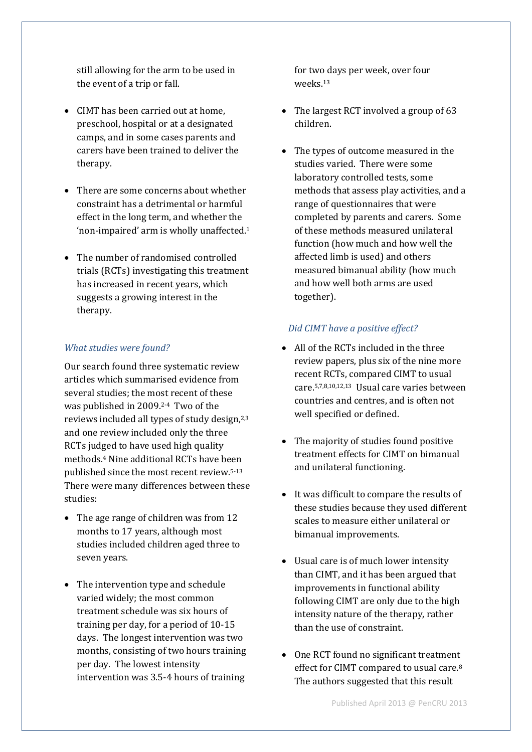still allowing for the arm to be used in the event of a trip or fall.

- CIMT has been carried out at home, preschool, hospital or at a designated camps, and in some cases parents and carers have been trained to deliver the therapy.
- There are some concerns about whether constraint has a detrimental or harmful effect in the long term, and whether the 'non-impaired' arm is wholly unaffected.<sup>1</sup>
- The number of randomised controlled trials (RCTs) investigating this treatment has increased in recent years, which suggests a growing interest in the therapy.

## *What studies were found?*

Our search found three systematic review articles which summarised evidence from several studies; the most recent of these was published in 2009. 2-4 Two of the reviews included all types of study design,2,3 and one review included only the three RCTs judged to have used high quality methods. <sup>4</sup> Nine additional RCTs have been published since the most recent review.5-13 There were many differences between these studies:

- The age range of children was from 12 months to 17 years, although most studies included children aged three to seven years.
- The intervention type and schedule varied widely; the most common treatment schedule was six hours of training per day, for a period of 10-15 days. The longest intervention was two months, consisting of two hours training per day. The lowest intensity intervention was 3.5-4 hours of training

for two days per week, over four weeks.<sup>13</sup>

- The largest RCT involved a group of 63 children.
- The types of outcome measured in the studies varied. There were some laboratory controlled tests, some methods that assess play activities, and a range of questionnaires that were completed by parents and carers. Some of these methods measured unilateral function (how much and how well the affected limb is used) and others measured bimanual ability (how much and how well both arms are used together).

## *Did CIMT have a positive effect?*

- All of the RCTs included in the three review papers, plus six of the nine more recent RCTs, compared CIMT to usual care.5,7,8,10,12,13 Usual care varies between countries and centres, and is often not well specified or defined.
- The majority of studies found positive treatment effects for CIMT on bimanual and unilateral functioning.
- It was difficult to compare the results of these studies because they used different scales to measure either unilateral or bimanual improvements.
- Usual care is of much lower intensity than CIMT, and it has been argued that improvements in functional ability following CIMT are only due to the high intensity nature of the therapy, rather than the use of constraint.
- One RCT found no significant treatment effect for CIMT compared to usual care.<sup>8</sup> The authors suggested that this result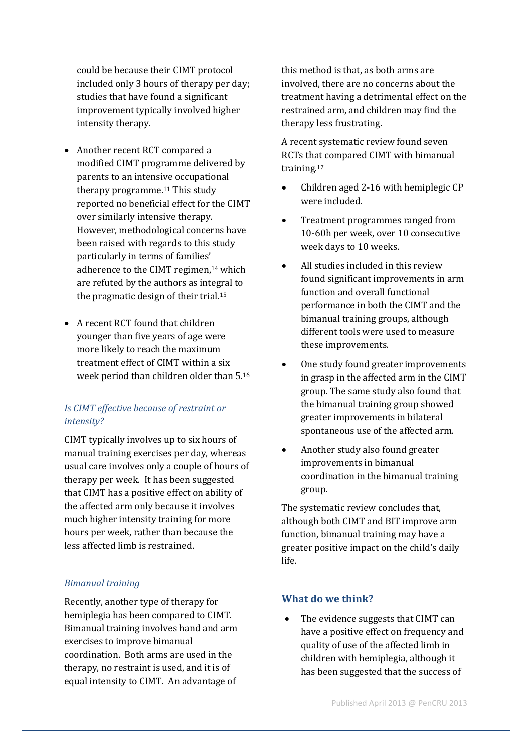could be because their CIMT protocol included only 3 hours of therapy per day; studies that have found a significant improvement typically involved higher intensity therapy.

- Another recent RCT compared a modified CIMT programme delivered by parents to an intensive occupational therapy programme.<sup>11</sup> This study reported no beneficial effect for the CIMT over similarly intensive therapy. However, methodological concerns have been raised with regards to this study particularly in terms of families' adherence to the CIMT regimen, <sup>14</sup> which are refuted by the authors as integral to the pragmatic design of their trial.<sup>15</sup>
- A recent RCT found that children younger than five years of age were more likely to reach the maximum treatment effect of CIMT within a six week period than children older than 5. 16

#### *Is CIMT effective because of restraint or intensity?*

CIMT typically involves up to six hours of manual training exercises per day, whereas usual care involves only a couple of hours of therapy per week. It has been suggested that CIMT has a positive effect on ability of the affected arm only because it involves much higher intensity training for more hours per week, rather than because the less affected limb is restrained.

#### *Bimanual training*

Recently, another type of therapy for hemiplegia has been compared to CIMT. Bimanual training involves hand and arm exercises to improve bimanual coordination. Both arms are used in the therapy, no restraint is used, and it is of equal intensity to CIMT. An advantage of

this method is that, as both arms are involved, there are no concerns about the treatment having a detrimental effect on the restrained arm, and children may find the therapy less frustrating.

A recent systematic review found seven RCTs that compared CIMT with bimanual training.<sup>17</sup>

- Children aged 2-16 with hemiplegic CP were included.
- Treatment programmes ranged from 10-60h per week, over 10 consecutive week days to 10 weeks.
- All studies included in this review found significant improvements in arm function and overall functional performance in both the CIMT and the bimanual training groups, although different tools were used to measure these improvements.
- One study found greater improvements in grasp in the affected arm in the CIMT group. The same study also found that the bimanual training group showed greater improvements in bilateral spontaneous use of the affected arm.
- Another study also found greater improvements in bimanual coordination in the bimanual training group.

The systematic review concludes that, although both CIMT and BIT improve arm function, bimanual training may have a greater positive impact on the child's daily life.

#### **What do we think?**

 The evidence suggests that CIMT can have a positive effect on frequency and quality of use of the affected limb in children with hemiplegia, although it has been suggested that the success of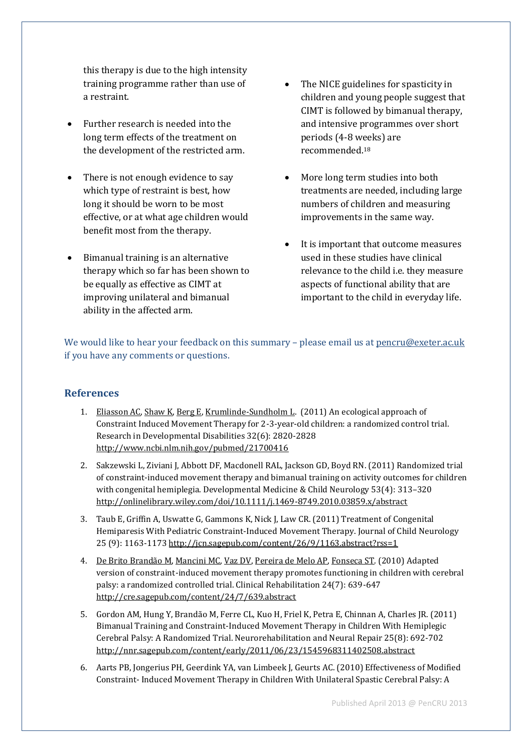this therapy is due to the high intensity training programme rather than use of a restraint.

- Further research is needed into the long term effects of the treatment on the development of the restricted arm.
- There is not enough evidence to say which type of restraint is best, how long it should be worn to be most effective, or at what age children would benefit most from the therapy.
- Bimanual training is an alternative therapy which so far has been shown to be equally as effective as CIMT at improving unilateral and bimanual ability in the affected arm.
- The NICE guidelines for spasticity in children and young people suggest that CIMT is followed by bimanual therapy, and intensive programmes over short periods (4-8 weeks) are recommended.<sup>18</sup>
- More long term studies into both treatments are needed, including large numbers of children and measuring improvements in the same way.
- It is important that outcome measures used in these studies have clinical relevance to the child i.e. they measure aspects of functional ability that are important to the child in everyday life.

We would like to hear your feedback on this summary - please email us at [pencru@exeter.ac.uk](mailto:pencru@exeter.ac.uk) if you have any comments or questions.

## **References**

- 1. [Eliasson AC,](http://www.ncbi.nlm.nih.gov/pubmed?term=%22Eliasson%20AC%22%5BAuthor%5D) [Shaw K,](http://www.ncbi.nlm.nih.gov/pubmed?term=%22Shaw%20K%22%5BAuthor%5D) [Berg E,](http://www.ncbi.nlm.nih.gov/pubmed?term=%22Berg%20E%22%5BAuthor%5D) [Krumlinde-Sundholm L.](http://www.ncbi.nlm.nih.gov/pubmed?term=%22Krumlinde-Sundholm%20L%22%5BAuthor%5D) (2011) An ecological approach of Constraint Induced Movement Therapy for 2-3-year-old children: a randomized control trial. Research in Developmental Disabilities 32(6): 2820-2828 <http://www.ncbi.nlm.nih.gov/pubmed/21700416>
- 2. Sakzewski L, Ziviani J, Abbott DF, Macdonell RAL, Jackson GD, Boyd RN. (2011) Randomized trial of constraint-induced movement therapy and bimanual training on activity outcomes for children with congenital hemiplegia. Developmental Medicine & Child Neurology 53(4): 313–320 <http://onlinelibrary.wiley.com/doi/10.1111/j.1469-8749.2010.03859.x/abstract>
- 3. Taub E, Griffin A, Uswatte G, Gammons K, Nick J, Law CR. (2011) Treatment of Congenital Hemiparesis With Pediatric Constraint-Induced Movement Therapy. Journal of Child Neurology 25 (9): 1163-1173 <http://jcn.sagepub.com/content/26/9/1163.abstract?rss=1>
- 4. [De Brito Brandão M,](http://www.ncbi.nlm.nih.gov/pubmed?term=%22de%20Brito%20Brand%C3%A3o%20M%22%5BAuthor%5D) [Mancini MC,](http://www.ncbi.nlm.nih.gov/pubmed?term=%22Mancini%20MC%22%5BAuthor%5D) [Vaz DV,](http://www.ncbi.nlm.nih.gov/pubmed?term=%22Vaz%20DV%22%5BAuthor%5D) [Pereira de Melo AP,](http://www.ncbi.nlm.nih.gov/pubmed?term=%22Pereira%20de%20Melo%20AP%22%5BAuthor%5D) [Fonseca ST.](http://www.ncbi.nlm.nih.gov/pubmed?term=%22Fonseca%20ST%22%5BAuthor%5D) (2010) Adapted version of constraint-induced movement therapy promotes functioning in children with cerebral palsy: a randomized controlled trial. Clinical Rehabilitation 24(7): 639-647 <http://cre.sagepub.com/content/24/7/639.abstract>
- 5. Gordon AM, Hung Y, Brandão M, Ferre CL, Kuo H, Friel K, Petra E, Chinnan A, Charles JR. (2011) Bimanual Training and Constraint-Induced Movement Therapy in Children With Hemiplegic Cerebral Palsy: A Randomized Trial. Neurorehabilitation and Neural Repair 25(8): 692-702 <http://nnr.sagepub.com/content/early/2011/06/23/1545968311402508.abstract>
- 6. Aarts PB, Jongerius PH, Geerdink YA, van Limbeek J, Geurts AC. (2010) Effectiveness of Modified Constraint- Induced Movement Therapy in Children With Unilateral Spastic Cerebral Palsy: A